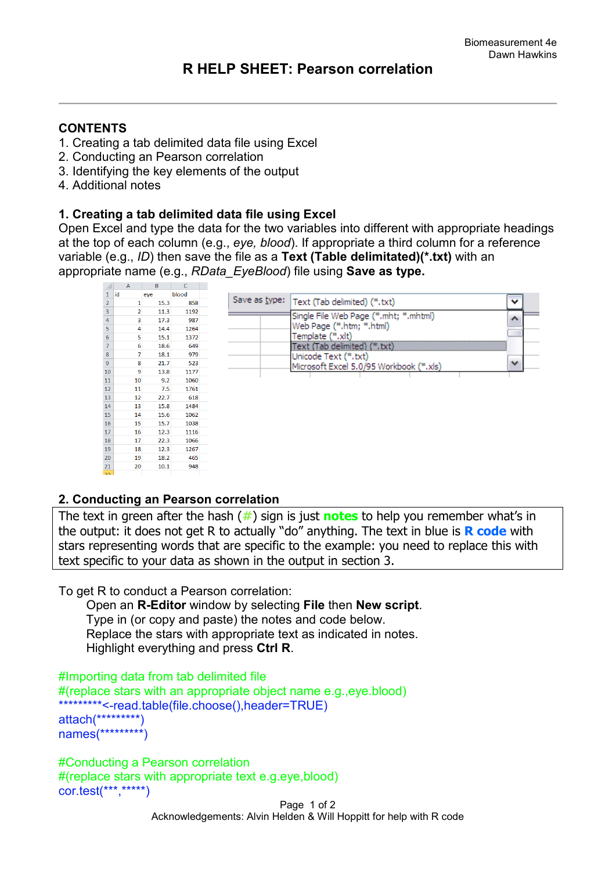# **CONTENTS**

- 1. Creating a tab delimited data file using Excel
- 2. Conducting an Pearson correlation
- 3. Identifying the key elements of the output
- 4. Additional notes

## **1. Creating a tab delimited data file using Excel**

Open Excel and type the data for the two variables into different with appropriate headings at the top of each column (e.g., *eye, blood*). If appropriate a third column for a reference variable (e.g., *ID*) then save the file as a **Text (Table delimitated)(\*.txt)** with an appropriate name (e.g., *RData\_EyeBlood*) file using **Save as type.** 

|                | $\mathsf{A}$   | D    |       |                                              |              |  |
|----------------|----------------|------|-------|----------------------------------------------|--------------|--|
| $\mathbf{1}$   | lid            | eye  | blood |                                              |              |  |
| $\overline{2}$ | $\mathbf{1}$   | 15.3 | 858   | Save as type:   Text (Tab delimited) (*.txt) | v            |  |
| 3              | $\overline{2}$ | 11.3 | 1192  | Single File Web Page (*.mht; *.mhtml)        |              |  |
| $\overline{4}$ | 3              | 17.3 | 987   |                                              | ∧            |  |
| 5              | 4              | 14.4 | 1264  | Web Page (*.htm; *.html)                     |              |  |
| 6              | 5              | 15.1 | 1372  | Template (*.xlt)                             |              |  |
| $\overline{7}$ | 6              | 18.6 | 649   | Fext (Tab delimited) (*.txt)                 |              |  |
| 8              | 7              | 18.1 | 979   | Unicode Text (*.txt)                         |              |  |
| $9\,$          | 8              | 21.7 | 523   | Microsoft Excel 5.0/95 Workbook (*.xls)      | $\checkmark$ |  |
| 10             | 9              | 13.8 | 1177  |                                              |              |  |
| 11             | 10             | 9.2  | 1060  |                                              |              |  |
| $12\,$         | 11             | 7.5  | 1761  |                                              |              |  |
| 13             | 12             | 22.7 | 618   |                                              |              |  |
| 14             | 13             | 15.8 | 1484  |                                              |              |  |
| <b>15</b>      | 14             | 15.6 | 1062  |                                              |              |  |
| <b>16</b>      | 15             | 15.7 | 1038  |                                              |              |  |
| 17             | 16             | 12.3 | 1116  |                                              |              |  |
| 18             | 17             | 22.3 | 1066  |                                              |              |  |
| 19             | 18             | 12.3 | 1267  |                                              |              |  |
| 20             | 19             | 18.2 | 465   |                                              |              |  |
| 21             | 20             | 10.1 | 948   |                                              |              |  |

## **2. Conducting an Pearson correlation**

The text in green after the hash (**#**) sign is just **notes** to help you remember what's in the output: it does not get R to actually "do" anything. The text in blue is **R code** with stars representing words that are specific to the example: you need to replace this with text specific to your data as shown in the output in section 3.

To get R to conduct a Pearson correlation:

 Open an **R-Editor** window by selecting **File** then **New script**. Type in (or copy and paste) the notes and code below. Replace the stars with appropriate text as indicated in notes. Highlight everything and press **Ctrl R**.

```
#Importing data from tab delimited file 
#(replace stars with an appropriate object name e.g.,eye.blood)
*********<-read.table(file.choose(),header=TRUE)
attach(*********)
names(*********)
```

```
#Conducting a Pearson correlation
#(replace stars with appropriate text e.g.eye,blood)
cor.test(***,*****)
```
Page 1 of 2 Acknowledgements: Alvin Helden & Will Hoppitt for help with R code